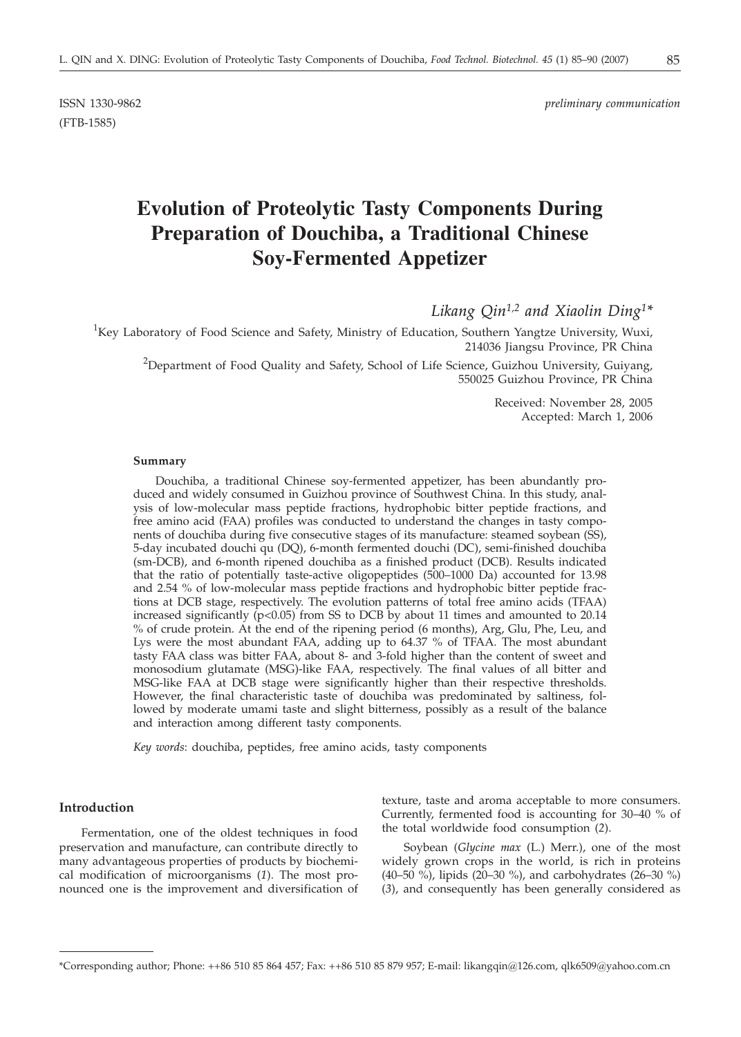ISSN 1330-9862 *preliminary communication*

# **Evolution of Proteolytic Tasty Components During Preparation of Douchiba, a Traditional Chinese Soy-Fermented Appetizer**

*Likang Qin1,2 and Xiaolin Ding1\**

<sup>1</sup>Key Laboratory of Food Science and Safety, Ministry of Education, Southern Yangtze University, Wuxi, 214036 Jiangsu Province, PR China

<sup>2</sup>Department of Food Quality and Safety, School of Life Science, Guizhou University, Guiyang, 550025 Guizhou Province, PR China

> Received: November 28, 2005 Accepted: March 1, 2006

#### **Summary**

Douchiba, a traditional Chinese soy-fermented appetizer, has been abundantly produced and widely consumed in Guizhou province of Southwest China. In this study, analysis of low-molecular mass peptide fractions, hydrophobic bitter peptide fractions, and free amino acid (FAA) profiles was conducted to understand the changes in tasty components of douchiba during five consecutive stages of its manufacture: steamed soybean (SS), 5-day incubated douchi qu (DQ), 6-month fermented douchi (DC), semi-finished douchiba (sm-DCB), and 6-month ripened douchiba as a finished product (DCB). Results indicated that the ratio of potentially taste-active oligopeptides (500–1000 Da) accounted for 13.98 and 2.54 % of low-molecular mass peptide fractions and hydrophobic bitter peptide fractions at DCB stage, respectively. The evolution patterns of total free amino acids (TFAA) increased significantly  $(p<0.05)$  from SS to DCB by about 11 times and amounted to 20.14 % of crude protein. At the end of the ripening period (6 months), Arg, Glu, Phe, Leu, and Lys were the most abundant FAA, adding up to 64.37 % of TFAA. The most abundant tasty FAA class was bitter FAA, about 8- and 3-fold higher than the content of sweet and monosodium glutamate (MSG)-like FAA, respectively. The final values of all bitter and MSG-like FAA at DCB stage were significantly higher than their respective thresholds. However, the final characteristic taste of douchiba was predominated by saltiness, followed by moderate umami taste and slight bitterness, possibly as a result of the balance and interaction among different tasty components.

*Key words*: douchiba, peptides, free amino acids, tasty components

# **Introduction**

Fermentation, one of the oldest techniques in food preservation and manufacture, can contribute directly to many advantageous properties of products by biochemical modification of microorganisms (*1*). The most pronounced one is the improvement and diversification of

texture, taste and aroma acceptable to more consumers. Currently, fermented food is accounting for 30–40 % of the total worldwide food consumption (*2*).

Soybean (*Glycine max* (L.) Merr.), one of the most widely grown crops in the world, is rich in proteins (40–50 %), lipids (20–30 %), and carbohydrates (26–30 %) (*3*), and consequently has been generally considered as

(FTB-1585)

<sup>\*</sup>Corresponding author; Phone: ++86 510 85 864 457; Fax: ++86 510 85 879 957; E-mail: likangqin@126.com, qlk6509@yahoo.com.cn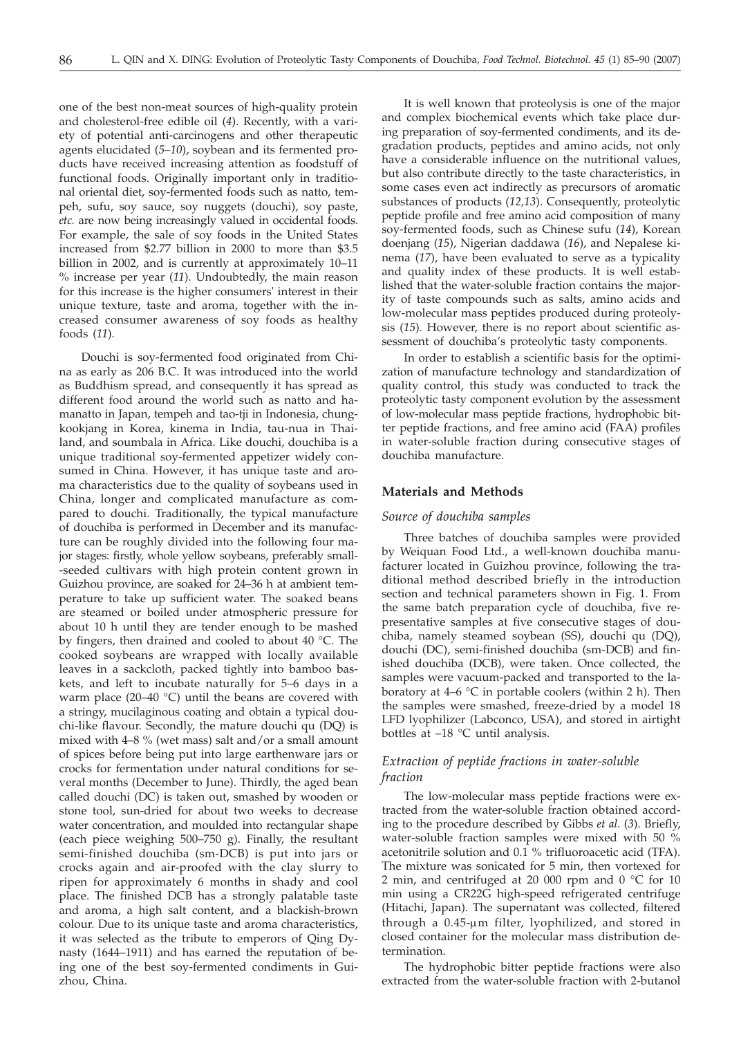one of the best non-meat sources of high-quality protein and cholesterol-free edible oil (*4*). Recently, with a variety of potential anti-carcinogens and other therapeutic agents elucidated (*5–10*), soybean and its fermented products have received increasing attention as foodstuff of functional foods. Originally important only in traditional oriental diet, soy-fermented foods such as natto, tempeh, sufu, soy sauce, soy nuggets (douchi), soy paste, *etc.* are now being increasingly valued in occidental foods. For example, the sale of soy foods in the United States increased from \$2.77 billion in 2000 to more than \$3.5 billion in 2002, and is currently at approximately 10–11 % increase per year (*11*). Undoubtedly, the main reason for this increase is the higher consumers' interest in their unique texture, taste and aroma, together with the increased consumer awareness of soy foods as healthy foods (*11*).

Douchi is soy-fermented food originated from China as early as 206 B.C. It was introduced into the world as Buddhism spread, and consequently it has spread as different food around the world such as natto and hamanatto in Japan, tempeh and tao-tji in Indonesia, chungkookjang in Korea, kinema in India, tau-nua in Thailand, and soumbala in Africa. Like douchi, douchiba is a unique traditional soy-fermented appetizer widely consumed in China. However, it has unique taste and aroma characteristics due to the quality of soybeans used in China, longer and complicated manufacture as compared to douchi. Traditionally, the typical manufacture of douchiba is performed in December and its manufacture can be roughly divided into the following four major stages: firstly, whole yellow soybeans, preferably small- -seeded cultivars with high protein content grown in Guizhou province, are soaked for 24–36 h at ambient temperature to take up sufficient water. The soaked beans are steamed or boiled under atmospheric pressure for about 10 h until they are tender enough to be mashed by fingers, then drained and cooled to about 40 °C. The cooked soybeans are wrapped with locally available leaves in a sackcloth, packed tightly into bamboo baskets, and left to incubate naturally for 5–6 days in a warm place (20–40 °C) until the beans are covered with a stringy, mucilaginous coating and obtain a typical douchi-like flavour. Secondly, the mature douchi qu (DQ) is mixed with 4–8 % (wet mass) salt and/or a small amount of spices before being put into large earthenware jars or crocks for fermentation under natural conditions for several months (December to June). Thirdly, the aged bean called douchi (DC) is taken out, smashed by wooden or stone tool, sun-dried for about two weeks to decrease water concentration, and moulded into rectangular shape (each piece weighing 500–750 g). Finally, the resultant semi-finished douchiba (sm-DCB) is put into jars or crocks again and air-proofed with the clay slurry to ripen for approximately 6 months in shady and cool place. The finished DCB has a strongly palatable taste and aroma, a high salt content, and a blackish-brown colour. Due to its unique taste and aroma characteristics, it was selected as the tribute to emperors of Qing Dynasty (1644–1911) and has earned the reputation of being one of the best soy-fermented condiments in Guizhou, China.

It is well known that proteolysis is one of the major and complex biochemical events which take place during preparation of soy-fermented condiments, and its degradation products, peptides and amino acids, not only have a considerable influence on the nutritional values, but also contribute directly to the taste characteristics, in some cases even act indirectly as precursors of aromatic substances of products (*12,13*). Consequently, proteolytic peptide profile and free amino acid composition of many soy-fermented foods, such as Chinese sufu (*14*), Korean doenjang (*15*), Nigerian daddawa (*16*), and Nepalese kinema (*17*), have been evaluated to serve as a typicality and quality index of these products. It is well established that the water-soluble fraction contains the majority of taste compounds such as salts, amino acids and low-molecular mass peptides produced during proteolysis (*15*). However, there is no report about scientific assessment of douchiba's proteolytic tasty components.

In order to establish a scientific basis for the optimization of manufacture technology and standardization of quality control, this study was conducted to track the proteolytic tasty component evolution by the assessment of low-molecular mass peptide fractions, hydrophobic bitter peptide fractions, and free amino acid (FAA) profiles in water-soluble fraction during consecutive stages of douchiba manufacture.

# **Materials and Methods**

#### *Source of douchiba samples*

Three batches of douchiba samples were provided by Weiquan Food Ltd., a well-known douchiba manufacturer located in Guizhou province, following the traditional method described briefly in the introduction section and technical parameters shown in Fig. 1. From the same batch preparation cycle of douchiba, five representative samples at five consecutive stages of douchiba, namely steamed soybean (SS), douchi qu (DQ), douchi (DC), semi-finished douchiba (sm-DCB) and finished douchiba (DCB), were taken. Once collected, the samples were vacuum-packed and transported to the laboratory at  $4-6$  °C in portable coolers (within 2 h). Then the samples were smashed, freeze-dried by a model 18 LFD lyophilizer (Labconco, USA), and stored in airtight bottles at –18 °C until analysis.

## *Extraction of peptide fractions in water-soluble fraction*

The low-molecular mass peptide fractions were extracted from the water-soluble fraction obtained according to the procedure described by Gibbs *et al.* (*3*). Briefly, water-soluble fraction samples were mixed with 50 % acetonitrile solution and 0.1 % trifluoroacetic acid (TFA). The mixture was sonicated for 5 min, then vortexed for 2 min, and centrifuged at 20 000 rpm and 0 °C for 10 min using a CR22G high-speed refrigerated centrifuge (Hitachi, Japan). The supernatant was collected, filtered through a 0.45-um filter, lyophilized, and stored in closed container for the molecular mass distribution determination.

The hydrophobic bitter peptide fractions were also extracted from the water-soluble fraction with 2-butanol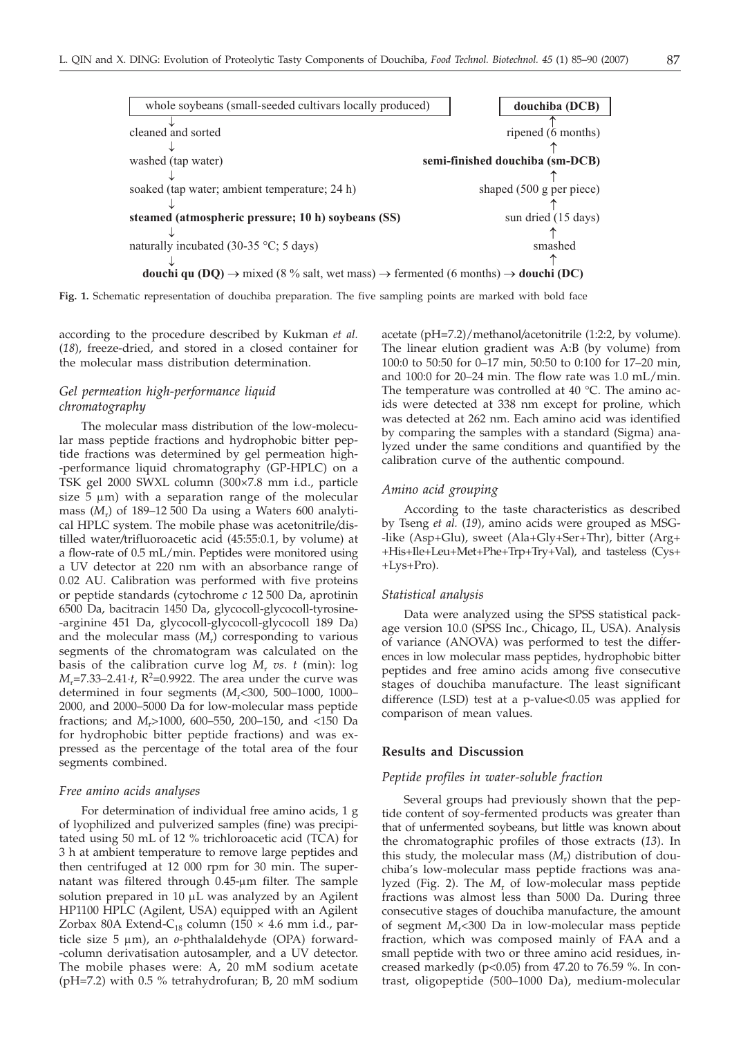soaked (tap water; ambient temperature; 24 h) shaped (500 g per piece) **steamed (atmospheric pressure; 10 h) soybeans (SS)** sun dried (15 days) naturally incubated (30-35 °C; 5 days) smashed **douchi qu (DQ)**  $\rightarrow$  mixed (8 % salt, wet mass)  $\rightarrow$  fermented (6 months)  $\rightarrow$  **douchi (DC)**  $\downarrow$  $\downarrow$  $\downarrow$ 

**Fig. 1.** Schematic representation of douchiba preparation. The five sampling points are marked with bold face

according to the procedure described by Kukman *et al.* (*18*), freeze-dried, and stored in a closed container for the molecular mass distribution determination.

# *Gel permeation high-performance liquid chromatography*

¯

 $\Box$ 

↓

The molecular mass distribution of the low-molecular mass peptide fractions and hydrophobic bitter peptide fractions was determined by gel permeation high- -performance liquid chromatography (GP-HPLC) on a TSK gel 2000 SWXL column (300×7.8 mm i.d., particle size  $5 \mu m$ ) with a separation range of the molecular mass (*M*r) of 189–12 500 Da using a Waters 600 analytical HPLC system. The mobile phase was acetonitrile*/*distilled water*/*trifluoroacetic acid (45:55:0.1, by volume) at a flow-rate of 0.5 mL/min. Peptides were monitored using a UV detector at 220 nm with an absorbance range of 0.02 AU. Calibration was performed with five proteins or peptide standards (cytochrome *c* 12 500 Da, aprotinin 6500 Da, bacitracin 1450 Da, glycocoll-glycocoll-tyrosine- -arginine 451 Da, glycocoll-glycocoll-glycocoll 189 Da) and the molecular mass  $(M_r)$  corresponding to various segments of the chromatogram was calculated on the basis of the calibration curve log  $M_r$  *vs. t* (min): log  $M_r$ =7.33–2.41·*t*,  $R^2$ =0.9922. The area under the curve was determined in four segments (*M*r<300, 500–1000, 1000– 2000, and 2000–5000 Da for low-molecular mass peptide fractions; and *M*r>1000, 600–550, 200–150, and <150 Da for hydrophobic bitter peptide fractions) and was expressed as the percentage of the total area of the four segments combined.

## *Free amino acids analyses*

For determination of individual free amino acids, 1 g of lyophilized and pulverized samples (fine) was precipitated using 50 mL of 12 % trichloroacetic acid (TCA) for 3 h at ambient temperature to remove large peptides and then centrifuged at 12 000 rpm for 30 min. The supernatant was filtered through  $0.45$ - $\mu$ m filter. The sample solution prepared in  $10 \mu$ L was analyzed by an Agilent HP1100 HPLC (Agilent, USA) equipped with an Agilent Zorbax 80A Extend-C<sub>18</sub> column (150  $\times$  4.6 mm i.d., particle size 5 µm), an *o*-phthalaldehyde (OPA) forward--column derivatisation autosampler, and a UV detector. The mobile phases were: A, 20 mM sodium acetate (pH=7.2) with 0.5 % tetrahydrofuran; B, 20 mM sodium

acetate (pH=7.2)/methanol*/*acetonitrile (1:2:2, by volume). The linear elution gradient was A:B (by volume) from 100:0 to 50:50 for 0–17 min, 50:50 to 0:100 for 17–20 min, and 100:0 for 20–24 min. The flow rate was 1.0 mL/min. The temperature was controlled at 40 °C. The amino acids were detected at 338 nm except for proline, which was detected at 262 nm. Each amino acid was identified by comparing the samples with a standard (Sigma) analyzed under the same conditions and quantified by the calibration curve of the authentic compound.

#### *Amino acid grouping*

According to the taste characteristics as described by Tseng *et al.* (*19*), amino acids were grouped as MSG- -like (Asp+Glu), sweet (Ala+Gly+Ser+Thr), bitter (Arg+ +His+Ile+Leu+Met+Phe+Trp+Try+Val), and tasteless (Cys+ +Lys+Pro).

#### *Statistical analysis*

Data were analyzed using the SPSS statistical package version 10.0 (SPSS Inc., Chicago, IL, USA). Analysis of variance (ANOVA) was performed to test the differences in low molecular mass peptides, hydrophobic bitter peptides and free amino acids among five consecutive stages of douchiba manufacture. The least significant difference (LSD) test at a p-value<0.05 was applied for comparison of mean values.

# **Results and Discussion**

## *Peptide profiles in water-soluble fraction*

Several groups had previously shown that the peptide content of soy-fermented products was greater than that of unfermented soybeans, but little was known about the chromatographic profiles of those extracts (*13*). In this study, the molecular mass  $(M_r)$  distribution of douchiba's low-molecular mass peptide fractions was analyzed (Fig. 2). The M<sub>r</sub> of low-molecular mass peptide fractions was almost less than 5000 Da. During three consecutive stages of douchiba manufacture, the amount of segment *M*r<300 Da in low-molecular mass peptide fraction, which was composed mainly of FAA and a small peptide with two or three amino acid residues, increased markedly ( $p<0.05$ ) from 47.20 to 76.59 %. In contrast, oligopeptide (500–1000 Da), medium-molecular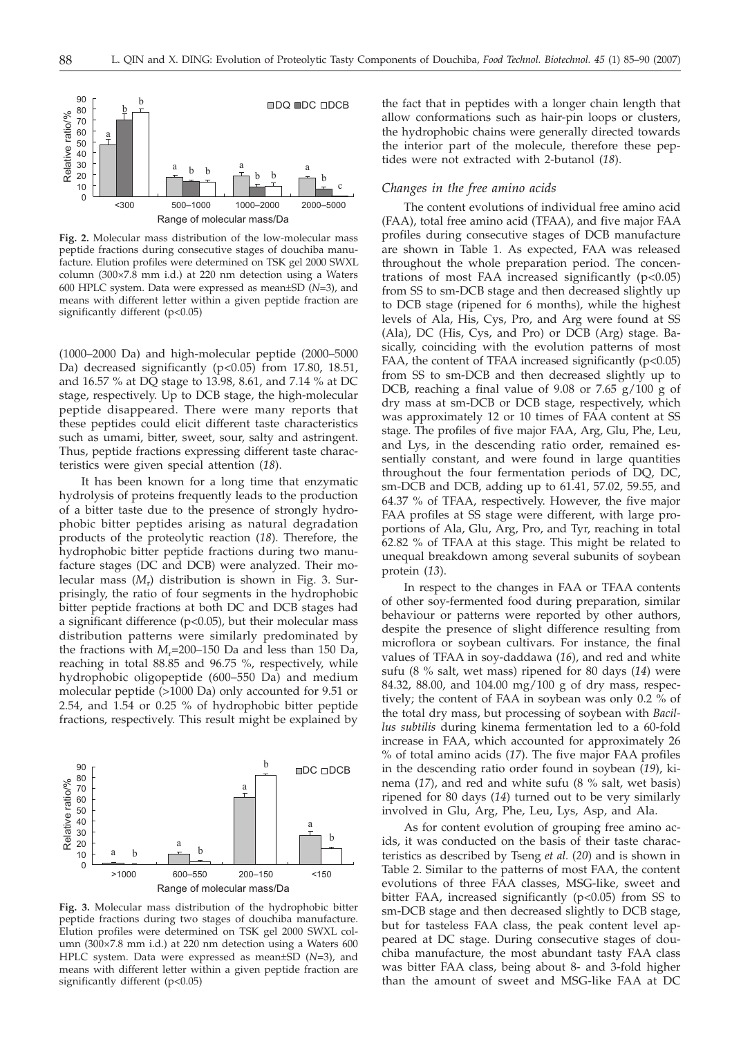

**Fig. 2.** Molecular mass distribution of the low-molecular mass peptide fractions during consecutive stages of douchiba manufacture. Elution profiles were determined on TSK gel 2000 SWXL column (300×7.8 mm i.d.) at 220 nm detection using a Waters 600 HPLC system. Data were expressed as mean±SD (*N*=3), and means with different letter within a given peptide fraction are significantly different (p<0.05)

(1000–2000 Da) and high-molecular peptide (2000–5000 Da) decreased significantly (p<0.05) from 17.80, 18.51, and 16.57 % at DQ stage to 13.98, 8.61, and 7.14 % at DC stage, respectively. Up to DCB stage, the high-molecular peptide disappeared. There were many reports that these peptides could elicit different taste characteristics such as umami, bitter, sweet, sour, salty and astringent. Thus, peptide fractions expressing different taste characteristics were given special attention (*18*).

It has been known for a long time that enzymatic hydrolysis of proteins frequently leads to the production of a bitter taste due to the presence of strongly hydrophobic bitter peptides arising as natural degradation products of the proteolytic reaction (*18*). Therefore, the hydrophobic bitter peptide fractions during two manufacture stages (DC and DCB) were analyzed. Their molecular mass (*M*r) distribution is shown in Fig. 3. Surprisingly, the ratio of four segments in the hydrophobic bitter peptide fractions at both DC and DCB stages had a significant difference (p<0.05), but their molecular mass distribution patterns were similarly predominated by the fractions with *M<sub>r</sub>*=200–150 Da and less than 150 Da, reaching in total 88.85 and 96.75 %, respectively, while hydrophobic oligopeptide (600–550 Da) and medium molecular peptide (>1000 Da) only accounted for 9.51 or 2.54, and 1.54 or 0.25 % of hydrophobic bitter peptide fractions, respectively. This result might be explained by



**Fig. 3.** Molecular mass distribution of the hydrophobic bitter peptide fractions during two stages of douchiba manufacture. Elution profiles were determined on TSK gel 2000 SWXL column (300×7.8 mm i.d.) at 220 nm detection using a Waters 600 HPLC system. Data were expressed as mean±SD (*N*=3), and means with different letter within a given peptide fraction are significantly different (p<0.05)

the fact that in peptides with a longer chain length that allow conformations such as hair-pin loops or clusters, the hydrophobic chains were generally directed towards the interior part of the molecule, therefore these peptides were not extracted with 2-butanol (*18*).

#### *Changes in the free amino acids*

The content evolutions of individual free amino acid (FAA), total free amino acid (TFAA), and five major FAA profiles during consecutive stages of DCB manufacture are shown in Table 1. As expected, FAA was released throughout the whole preparation period. The concentrations of most FAA increased significantly  $(p<0.05)$ from SS to sm-DCB stage and then decreased slightly up to DCB stage (ripened for 6 months), while the highest levels of Ala, His, Cys, Pro, and Arg were found at SS (Ala), DC (His, Cys, and Pro) or DCB (Arg) stage. Basically, coinciding with the evolution patterns of most FAA, the content of TFAA increased significantly  $(p<0.05)$ from SS to sm-DCB and then decreased slightly up to DCB, reaching a final value of 9.08 or 7.65 g/100 g of dry mass at sm-DCB or DCB stage, respectively, which was approximately 12 or 10 times of FAA content at SS stage. The profiles of five major FAA, Arg, Glu, Phe, Leu, and Lys, in the descending ratio order, remained essentially constant, and were found in large quantities throughout the four fermentation periods of DQ, DC, sm-DCB and DCB, adding up to 61.41, 57.02, 59.55, and 64.37 % of TFAA, respectively. However, the five major FAA profiles at SS stage were different, with large proportions of Ala, Glu, Arg, Pro, and Tyr, reaching in total 62.82 % of TFAA at this stage. This might be related to unequal breakdown among several subunits of soybean protein (*13*).

In respect to the changes in FAA or TFAA contents of other soy-fermented food during preparation, similar behaviour or patterns were reported by other authors, despite the presence of slight difference resulting from microflora or soybean cultivars. For instance, the final values of TFAA in soy-daddawa (*16*), and red and white sufu (8 % salt, wet mass) ripened for 80 days (*14*) were 84.32, 88.00, and 104.00 mg/100 g of dry mass, respectively; the content of FAA in soybean was only 0.2 % of the total dry mass, but processing of soybean with *Bacillus subtilis* during kinema fermentation led to a 60-fold increase in FAA, which accounted for approximately 26 % of total amino acids (*17*). The five major FAA profiles in the descending ratio order found in soybean (*19*), kinema (*17*), and red and white sufu (8 % salt, wet basis) ripened for 80 days (*14*) turned out to be very similarly involved in Glu, Arg, Phe, Leu, Lys, Asp, and Ala.

As for content evolution of grouping free amino acids, it was conducted on the basis of their taste characteristics as described by Tseng *et al.* (*20*) and is shown in Table 2. Similar to the patterns of most FAA, the content evolutions of three FAA classes, MSG-like, sweet and bitter FAA, increased significantly  $(p<0.05)$  from SS to sm-DCB stage and then decreased slightly to DCB stage, but for tasteless FAA class, the peak content level appeared at DC stage. During consecutive stages of douchiba manufacture, the most abundant tasty FAA class was bitter FAA class, being about 8- and 3-fold higher than the amount of sweet and MSG-like FAA at DC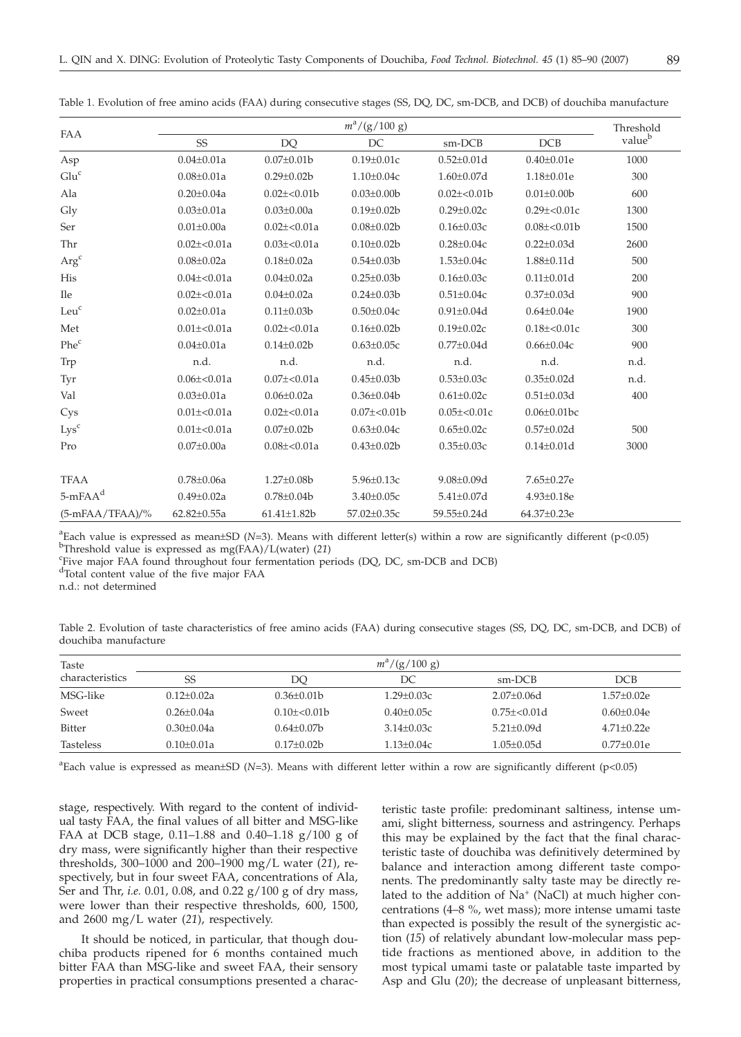| v            | v                  |
|--------------|--------------------|
| w<br>۰.<br>٧ | I<br>۰.<br>٠<br>۰. |

| FAA               |                   | Threshold         |                   |                   |                    |                    |
|-------------------|-------------------|-------------------|-------------------|-------------------|--------------------|--------------------|
|                   | <b>SS</b>         | <b>DQ</b>         | DC                | sm-DCB            | DCB                | value <sup>b</sup> |
| Asp               | $0.04 \pm 0.01a$  | $0.07 \pm 0.01$   | $0.19 \pm 0.01c$  | $0.52 \pm 0.01$ d | $0.40 \pm 0.01e$   | 1000               |
| Glu <sup>c</sup>  | $0.08 \pm 0.01a$  | $0.29 \pm 0.02 b$ | $1.10 \pm 0.04c$  | $1.60 \pm 0.07$ d | $1.18 \pm 0.01e$   | 300                |
| Ala               | $0.20 \pm 0.04a$  | $0.02 \pm 0.01$   | $0.03 \pm 0.00$   | $0.02 \pm 0.01$   | $0.01 \pm 0.00$    | 600                |
| Gly               | $0.03 \pm 0.01a$  | $0.03 \pm 0.00a$  | $0.19 \pm 0.02 b$ | $0.29 \pm 0.02c$  | $0.29 \pm 0.01c$   | 1300               |
| Ser               | $0.01 \pm 0.00a$  | $0.02 \pm 0.01a$  | $0.08 \pm 0.02 b$ | $0.16 \pm 0.03c$  | $0.08 \pm 0.01$    | 1500               |
| Thr               | $0.02 \pm 0.01a$  | $0.03 \pm 0.01a$  | $0.10 \pm 0.02$   | $0.28 \pm 0.04c$  | $0.22 \pm 0.03$ d  | 2600               |
| $Arg^c$           | $0.08 \pm 0.02a$  | $0.18 \pm 0.02a$  | $0.54 \pm 0.03 b$ | $1.53 \pm 0.04c$  | $1.88 \pm 0.11$ d  | 500                |
| His               | $0.04\pm<0.01a$   | $0.04 \pm 0.02a$  | $0.25 \pm 0.03 b$ | $0.16 \pm 0.03c$  | $0.11 \pm 0.01 d$  | 200                |
| <b>Ile</b>        | $0.02 \pm 0.01a$  | $0.04 \pm 0.02a$  | $0.24 \pm 0.03 b$ | $0.51 \pm 0.04c$  | $0.37 \pm 0.03$ d  | 900                |
| Leu <sup>c</sup>  | $0.02 \pm 0.01a$  | $0.11 \pm 0.03 b$ | $0.50 \pm 0.04c$  | $0.91 \pm 0.04$ d | $0.64 \pm 0.04e$   | 1900               |
| Met               | $0.01\pm<0.01a$   | $0.02 \pm 0.01a$  | $0.16 \pm 0.02 b$ | $0.19 \pm 0.02c$  | $0.18 \pm 0.01c$   | 300                |
| Phe <sup>c</sup>  | $0.04 \pm 0.01a$  | $0.14 \pm 0.02 b$ | $0.63 \pm 0.05c$  | $0.77 \pm 0.04$ d | $0.66 \pm 0.04c$   | 900                |
| Trp               | n.d.              | n.d.              | n.d.              | n.d.              | n.d.               | n.d.               |
| Tyr               | $0.06 \pm 0.01a$  | $0.07 \pm 0.01a$  | $0.45 \pm 0.03 b$ | $0.53 \pm 0.03c$  | $0.35 \pm 0.02d$   | n.d.               |
| Val               | $0.03 \pm 0.01a$  | $0.06 \pm 0.02a$  | $0.36 \pm 0.04$   | $0.61 \pm 0.02c$  | $0.51 \pm 0.03$ d  | 400                |
| Cys               | $0.01 \pm 0.01a$  | $0.02 \pm 0.01a$  | $0.07 \pm 0.01$   | $0.05 \pm 0.01c$  | $0.06 \pm 0.01$ bc |                    |
| Lys <sup>c</sup>  | $0.01 \pm 0.01a$  | $0.07 \pm 0.02 b$ | $0.63 \pm 0.04c$  | $0.65 \pm 0.02c$  | $0.57 \pm 0.02$ d  | 500                |
| Pro               | $0.07 \pm 0.00a$  | $0.08 \pm 0.01a$  | $0.43 \pm 0.02 b$ | $0.35 \pm 0.03c$  | $0.14 \pm 0.01$ d  | 3000               |
| <b>TFAA</b>       | $0.78 \pm 0.06a$  | $1.27 \pm 0.08$ b | $5.96 \pm 0.13c$  | $9.08 \pm 0.09$ d | 7.65±0.27e         |                    |
| $5$ -mFA $Ad$     | $0.49 \pm 0.02a$  | $0.78 \pm 0.04 b$ | $3.40 \pm 0.05c$  | $5.41 \pm 0.07$ d | $4.93 \pm 0.18e$   |                    |
| $(5-mFAA/TFAA)/%$ | $62.82 \pm 0.55a$ | $61.41 \pm 1.82b$ | 57.02±0.35c       | 59.55±0.24d       | 64.37±0.23e        |                    |

Table 1. Evolution of free amino acids (FAA) during consecutive stages (SS, DQ, DC, sm-DCB, and DCB) of douchiba manufacture

<sup>a</sup>Each value is expressed as mean±SD (*N*=3). Means with different letter(s) within a row are significantly different (p<0.05) b<sub>Throphold</sub> value is expressed as  $mc(FA \Lambda)/L(water)$  (21) <sup>b</sup>Threshold value is expressed as mg(FAA)/L(water) (21)

Five major FAA found throughout four fermentation periods (DQ, DC, sm-DCB and DCB)

<sup>d</sup>Total content value of the five major FAA

n.d.: not determined

| Table 2. Evolution of taste characteristics of free amino acids (FAA) during consecutive stages (SS, DQ, DC, sm-DCB, and DCB) of |  |  |  |  |  |
|----------------------------------------------------------------------------------------------------------------------------------|--|--|--|--|--|
| douchiba manufacture                                                                                                             |  |  |  |  |  |

| Taste            | $m^2/(g/100 g)$  |                 |                  |                   |                  |  |  |
|------------------|------------------|-----------------|------------------|-------------------|------------------|--|--|
| characteristics  | SS               | DO              | DС               | sm-DCB            | DCB              |  |  |
| MSG-like         | $0.12 + 0.02a$   | $0.36 + 0.01b$  | $1.29 + 0.03c$   | $2.07+0.06d$      | $1.57+0.02e$     |  |  |
| Sweet            | $0.26 + 0.04a$   | $0.10 + 0.01$   | $0.40 + 0.05c$   | $0.75 + < 0.01d$  | $0.60 \pm 0.04e$ |  |  |
| <b>Bitter</b>    | $0.30 + 0.04a$   | $0.64 + 0.07$ b | $3.14 + 0.03c$   | $5.21 + 0.09d$    | $4.71 + 0.22e$   |  |  |
| <b>Tasteless</b> | $0.10 \pm 0.01a$ | $0.17+0.02b$    | $1.13 \pm 0.04c$ | $1.05 \pm 0.05$ d | $0.77 \pm 0.01e$ |  |  |

a Each value is expressed as mean±SD (*N*=3). Means with different letter within a row are significantly different (p<0.05)

stage, respectively. With regard to the content of individual tasty FAA, the final values of all bitter and MSG-like FAA at DCB stage, 0.11–1.88 and 0.40–1.18 g/100 g of dry mass, were significantly higher than their respective thresholds, 300–1000 and 200–1900 mg/L water (*21*), respectively, but in four sweet FAA, concentrations of Ala, Ser and Thr, *i.e.* 0.01, 0.08, and 0.22 g/100 g of dry mass, were lower than their respective thresholds, 600, 1500, and 2600 mg/L water (*21*), respectively.

It should be noticed, in particular, that though douchiba products ripened for 6 months contained much bitter FAA than MSG-like and sweet FAA, their sensory properties in practical consumptions presented a charac-

teristic taste profile: predominant saltiness, intense umami, slight bitterness, sourness and astringency. Perhaps this may be explained by the fact that the final characteristic taste of douchiba was definitively determined by balance and interaction among different taste components. The predominantly salty taste may be directly related to the addition of  $Na<sup>+</sup>$  (NaCl) at much higher concentrations (4–8 %, wet mass); more intense umami taste than expected is possibly the result of the synergistic action (*15*) of relatively abundant low-molecular mass peptide fractions as mentioned above, in addition to the most typical umami taste or palatable taste imparted by Asp and Glu (*20*); the decrease of unpleasant bitterness,